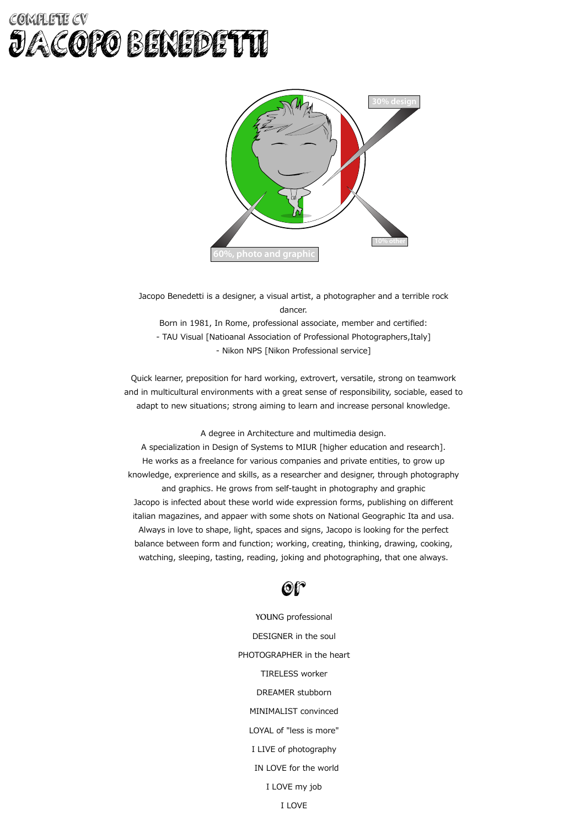### COMPLETE CV JACOPO BENEDETTI



Jacopo Benedetti is a designer, a visual artist, a photographer and a terrible rock dancer. Born in 1981, In Rome, professional associate, member and certified: - TAU Visual [Natioanal Association of Professional Photographers, Italy] - Nikon NPS [Nikon Professional service]

Quick learner, preposition for hard working, extrovert, versatile, strong on teamwork and in multicultural environments with a great sense of responsibility, sociable, eased to adapt to new situations; strong aiming to learn and increase personal knowledge.

A degree in Architecture and multimedia design.

A specialization in Design of Systems to MIUR [higher education and research]. He works as a freelance for various companies and private entities, to grow up knowledge, exprerience and skills, as a researcher and designer, through photography and graphics. He grows from self-taught in photography and graphic Jacopo is infected about these world wide expression forms, publishing on different italian magazines, and appaer with some shots on National Geographic Ita and usa. Always in love to shape, light, spaces and signs, Jacopo is looking for the perfect balance between form and function; working, creating, thinking, drawing, cooking, watching, sleeping, tasting, reading, joking and photographing, that one always.



YOUNG professional DESIGNER in the soul PHOTOGRAPHER in the heart TIRELESS worker DREAMER stubborn MINIMALIST convinced LOYAL of "less is more" I LIVE of photography IN LOVE for the world I LOVE my job I LOVE